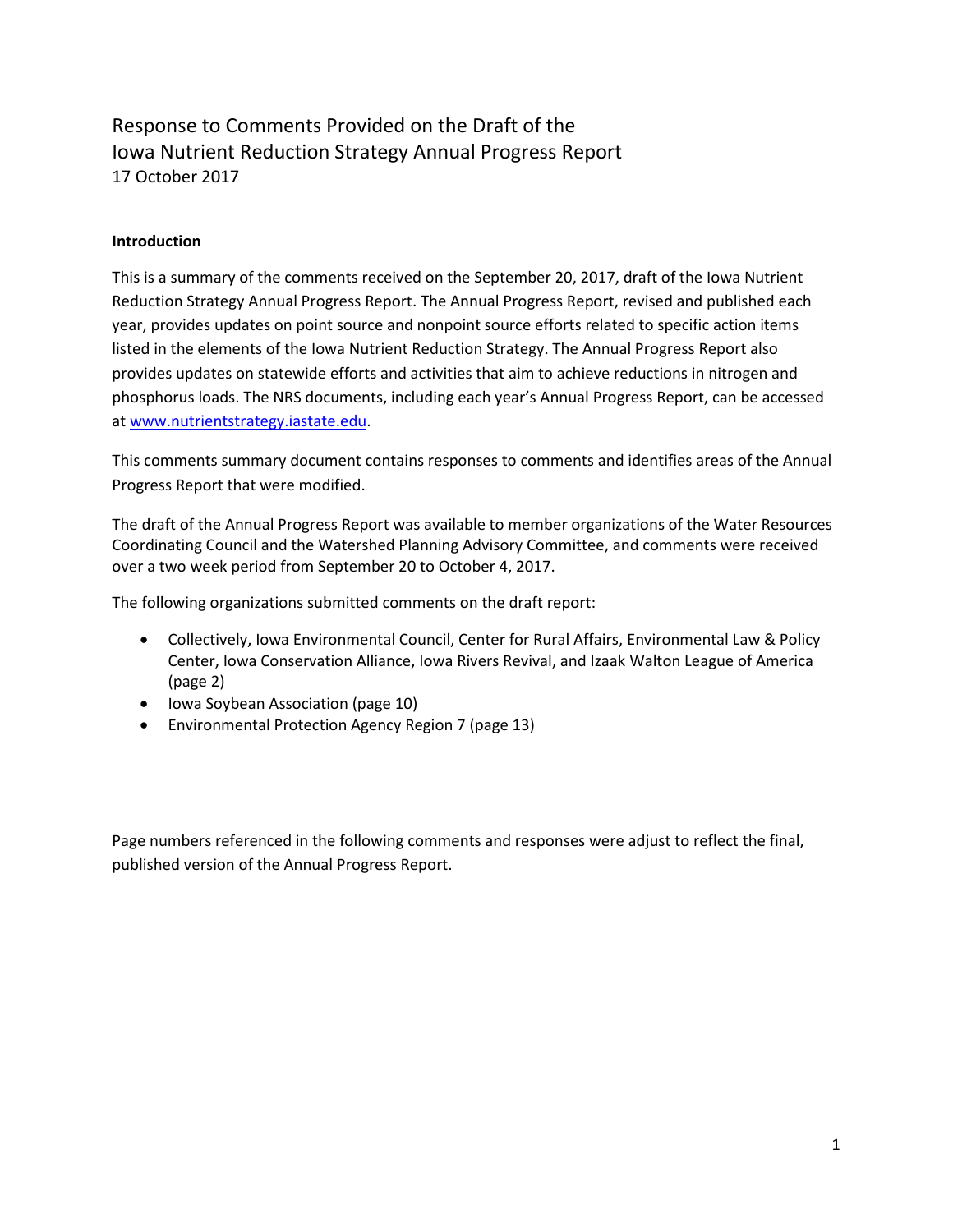# Response to Comments Provided on the Draft of the Iowa Nutrient Reduction Strategy Annual Progress Report 17 October 2017

## **Introduction**

This is a summary of the comments received on the September 20, 2017, draft of the Iowa Nutrient Reduction Strategy Annual Progress Report. The Annual Progress Report, revised and published each year, provides updates on point source and nonpoint source efforts related to specific action items listed in the elements of the Iowa Nutrient Reduction Strategy. The Annual Progress Report also provides updates on statewide efforts and activities that aim to achieve reductions in nitrogen and phosphorus loads. The NRS documents, including each year's Annual Progress Report, can be accessed at [www.nutrientstrategy.iastate.edu.](http://www.nutrientstrategy.iastate.edu/)

This comments summary document contains responses to comments and identifies areas of the Annual Progress Report that were modified.

The draft of the Annual Progress Report was available to member organizations of the Water Resources Coordinating Council and the Watershed Planning Advisory Committee, and comments were received over a two week period from September 20 to October 4, 2017.

The following organizations submitted comments on the draft report:

- Collectively, Iowa Environmental Council, Center for Rural Affairs, Environmental Law & Policy Center, Iowa Conservation Alliance, Iowa Rivers Revival, and Izaak Walton League of America (page 2)
- Iowa Soybean Association (page 10)
- Environmental Protection Agency Region 7 (page 13)

Page numbers referenced in the following comments and responses were adjust to reflect the final, published version of the Annual Progress Report.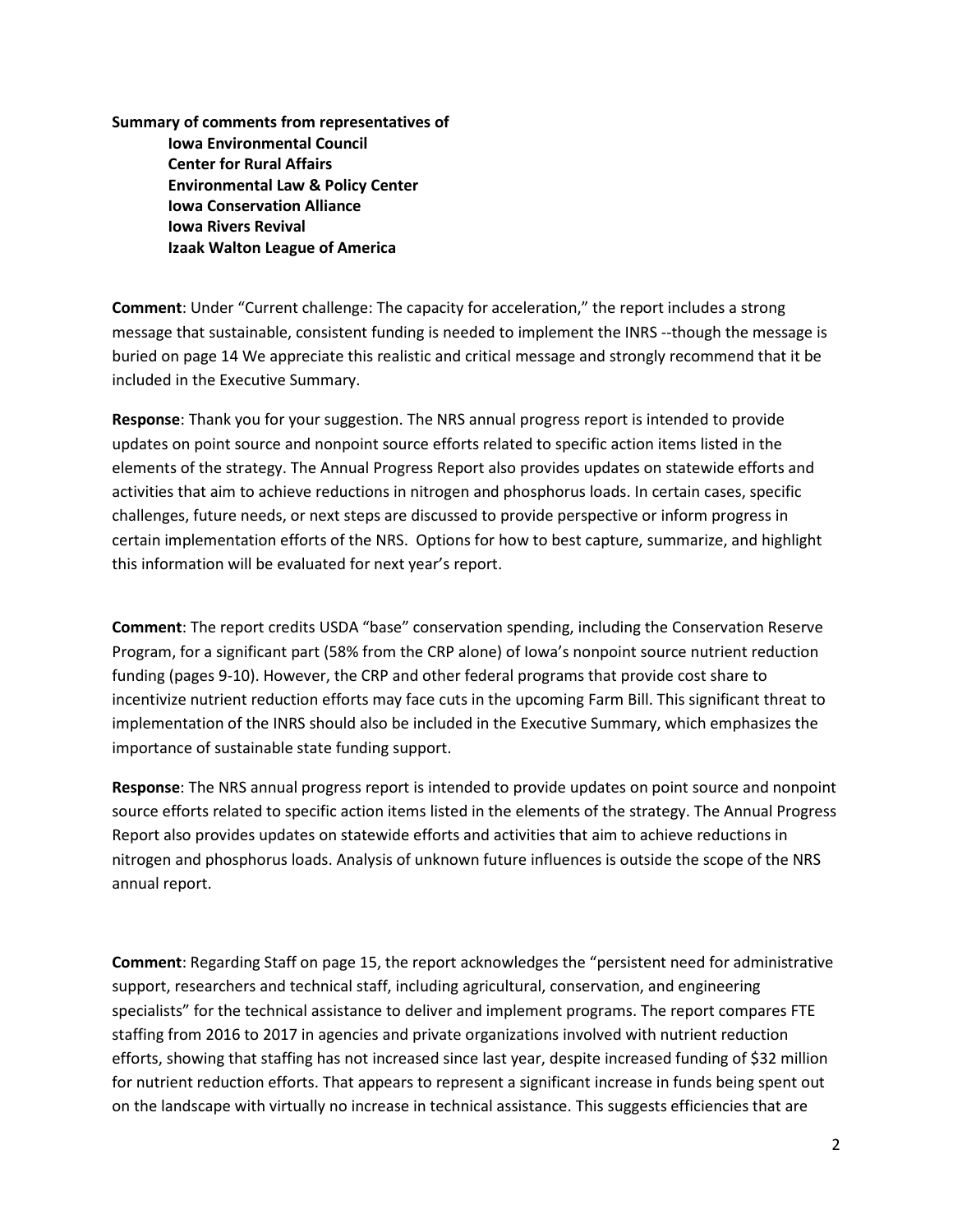**Summary of comments from representatives of Iowa Environmental Council Center for Rural Affairs Environmental Law & Policy Center Iowa Conservation Alliance Iowa Rivers Revival Izaak Walton League of America**

**Comment**: Under "Current challenge: The capacity for acceleration," the report includes a strong message that sustainable, consistent funding is needed to implement the INRS --though the message is buried on page 14 We appreciate this realistic and critical message and strongly recommend that it be included in the Executive Summary.

**Response**: Thank you for your suggestion. The NRS annual progress report is intended to provide updates on point source and nonpoint source efforts related to specific action items listed in the elements of the strategy. The Annual Progress Report also provides updates on statewide efforts and activities that aim to achieve reductions in nitrogen and phosphorus loads. In certain cases, specific challenges, future needs, or next steps are discussed to provide perspective or inform progress in certain implementation efforts of the NRS. Options for how to best capture, summarize, and highlight this information will be evaluated for next year's report.

**Comment**: The report credits USDA "base" conservation spending, including the Conservation Reserve Program, for a significant part (58% from the CRP alone) of Iowa's nonpoint source nutrient reduction funding (pages 9-10). However, the CRP and other federal programs that provide cost share to incentivize nutrient reduction efforts may face cuts in the upcoming Farm Bill. This significant threat to implementation of the INRS should also be included in the Executive Summary, which emphasizes the importance of sustainable state funding support.

**Response**: The NRS annual progress report is intended to provide updates on point source and nonpoint source efforts related to specific action items listed in the elements of the strategy. The Annual Progress Report also provides updates on statewide efforts and activities that aim to achieve reductions in nitrogen and phosphorus loads. Analysis of unknown future influences is outside the scope of the NRS annual report.

**Comment**: Regarding Staff on page 15, the report acknowledges the "persistent need for administrative support, researchers and technical staff, including agricultural, conservation, and engineering specialists" for the technical assistance to deliver and implement programs. The report compares FTE staffing from 2016 to 2017 in agencies and private organizations involved with nutrient reduction efforts, showing that staffing has not increased since last year, despite increased funding of \$32 million for nutrient reduction efforts. That appears to represent a significant increase in funds being spent out on the landscape with virtually no increase in technical assistance. This suggests efficiencies that are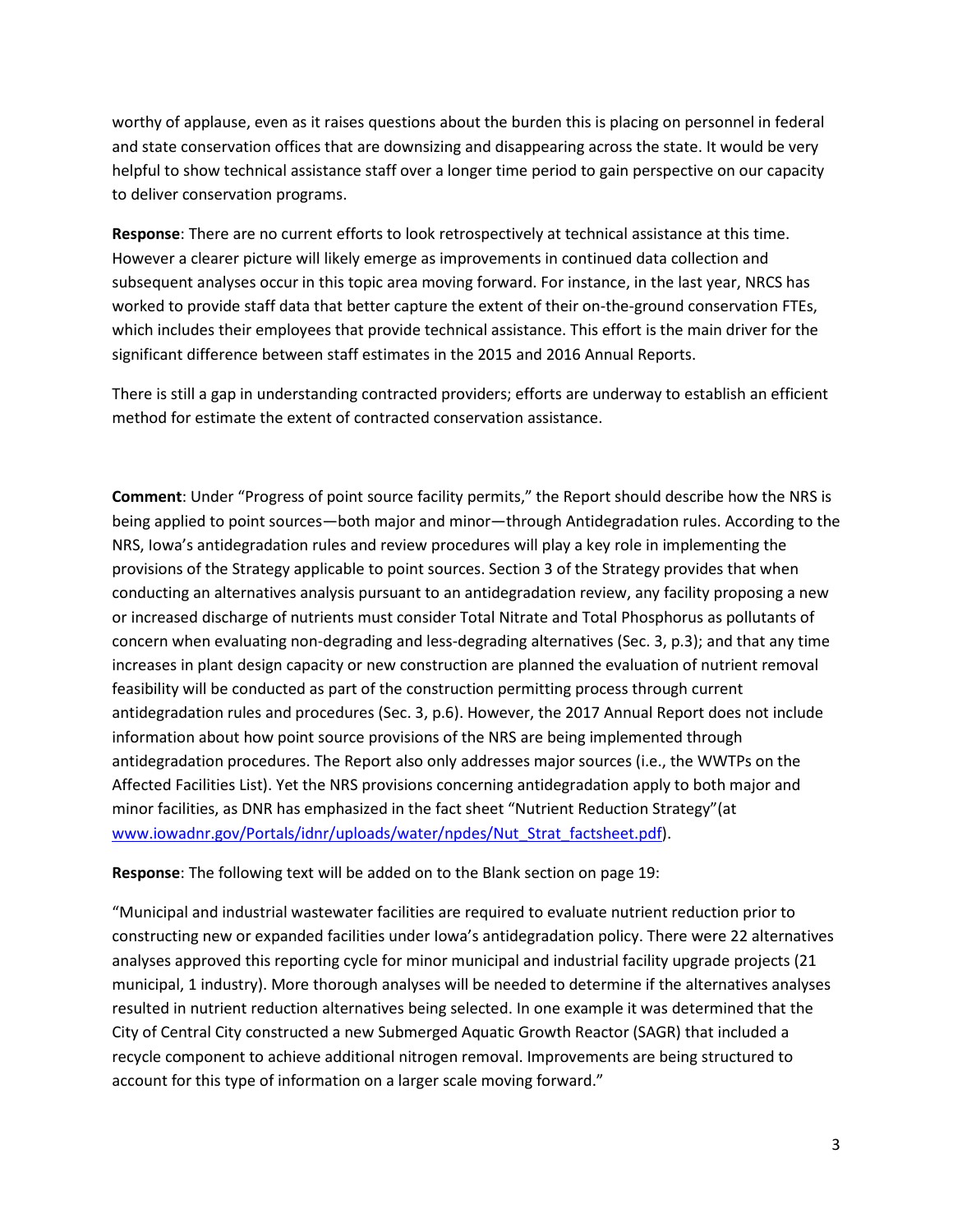worthy of applause, even as it raises questions about the burden this is placing on personnel in federal and state conservation offices that are downsizing and disappearing across the state. It would be very helpful to show technical assistance staff over a longer time period to gain perspective on our capacity to deliver conservation programs.

**Response**: There are no current efforts to look retrospectively at technical assistance at this time. However a clearer picture will likely emerge as improvements in continued data collection and subsequent analyses occur in this topic area moving forward. For instance, in the last year, NRCS has worked to provide staff data that better capture the extent of their on-the-ground conservation FTEs, which includes their employees that provide technical assistance. This effort is the main driver for the significant difference between staff estimates in the 2015 and 2016 Annual Reports.

There is still a gap in understanding contracted providers; efforts are underway to establish an efficient method for estimate the extent of contracted conservation assistance.

**Comment**: Under "Progress of point source facility permits," the Report should describe how the NRS is being applied to point sources—both major and minor—through Antidegradation rules. According to the NRS, Iowa's antidegradation rules and review procedures will play a key role in implementing the provisions of the Strategy applicable to point sources. Section 3 of the Strategy provides that when conducting an alternatives analysis pursuant to an antidegradation review, any facility proposing a new or increased discharge of nutrients must consider Total Nitrate and Total Phosphorus as pollutants of concern when evaluating non-degrading and less-degrading alternatives (Sec. 3, p.3); and that any time increases in plant design capacity or new construction are planned the evaluation of nutrient removal feasibility will be conducted as part of the construction permitting process through current antidegradation rules and procedures (Sec. 3, p.6). However, the 2017 Annual Report does not include information about how point source provisions of the NRS are being implemented through antidegradation procedures. The Report also only addresses major sources (i.e., the WWTPs on the Affected Facilities List). Yet the NRS provisions concerning antidegradation apply to both major and minor facilities, as DNR has emphasized in the fact sheet "Nutrient Reduction Strategy"(at [www.iowadnr.gov/Portals/idnr/uploads/water/npdes/Nut\\_Strat\\_factsheet.pdf\)](http://www.iowadnr.gov/Portals/idnr/uploads/water/npdes/Nut_Strat_factsheet.pdf).

**Response**: The following text will be added on to the Blank section on page 19:

"Municipal and industrial wastewater facilities are required to evaluate nutrient reduction prior to constructing new or expanded facilities under Iowa's antidegradation policy. There were 22 alternatives analyses approved this reporting cycle for minor municipal and industrial facility upgrade projects (21 municipal, 1 industry). More thorough analyses will be needed to determine if the alternatives analyses resulted in nutrient reduction alternatives being selected. In one example it was determined that the City of Central City constructed a new Submerged Aquatic Growth Reactor (SAGR) that included a recycle component to achieve additional nitrogen removal. Improvements are being structured to account for this type of information on a larger scale moving forward."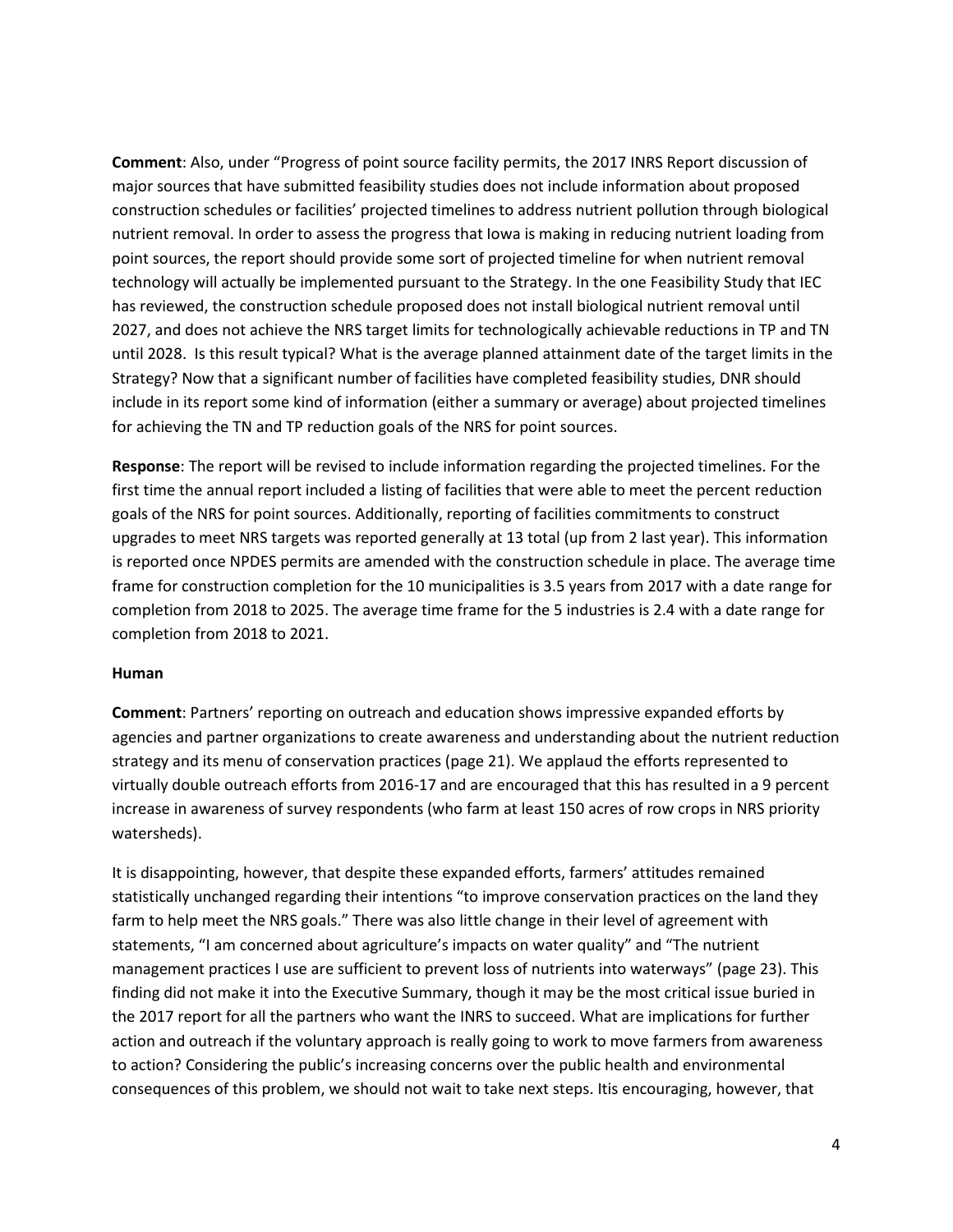**Comment**: Also, under "Progress of point source facility permits, the 2017 INRS Report discussion of major sources that have submitted feasibility studies does not include information about proposed construction schedules or facilities' projected timelines to address nutrient pollution through biological nutrient removal. In order to assess the progress that Iowa is making in reducing nutrient loading from point sources, the report should provide some sort of projected timeline for when nutrient removal technology will actually be implemented pursuant to the Strategy. In the one Feasibility Study that IEC has reviewed, the construction schedule proposed does not install biological nutrient removal until 2027, and does not achieve the NRS target limits for technologically achievable reductions in TP and TN until 2028. Is this result typical? What is the average planned attainment date of the target limits in the Strategy? Now that a significant number of facilities have completed feasibility studies, DNR should include in its report some kind of information (either a summary or average) about projected timelines for achieving the TN and TP reduction goals of the NRS for point sources.

**Response**: The report will be revised to include information regarding the projected timelines. For the first time the annual report included a listing of facilities that were able to meet the percent reduction goals of the NRS for point sources. Additionally, reporting of facilities commitments to construct upgrades to meet NRS targets was reported generally at 13 total (up from 2 last year). This information is reported once NPDES permits are amended with the construction schedule in place. The average time frame for construction completion for the 10 municipalities is 3.5 years from 2017 with a date range for completion from 2018 to 2025. The average time frame for the 5 industries is 2.4 with a date range for completion from 2018 to 2021.

#### **Human**

**Comment**: Partners' reporting on outreach and education shows impressive expanded efforts by agencies and partner organizations to create awareness and understanding about the nutrient reduction strategy and its menu of conservation practices (page 21). We applaud the efforts represented to virtually double outreach efforts from 2016-17 and are encouraged that this has resulted in a 9 percent increase in awareness of survey respondents (who farm at least 150 acres of row crops in NRS priority watersheds).

It is disappointing, however, that despite these expanded efforts, farmers' attitudes remained statistically unchanged regarding their intentions "to improve conservation practices on the land they farm to help meet the NRS goals." There was also little change in their level of agreement with statements, "I am concerned about agriculture's impacts on water quality" and "The nutrient management practices I use are sufficient to prevent loss of nutrients into waterways" (page 23). This finding did not make it into the Executive Summary, though it may be the most critical issue buried in the 2017 report for all the partners who want the INRS to succeed. What are implications for further action and outreach if the voluntary approach is really going to work to move farmers from awareness to action? Considering the public's increasing concerns over the public health and environmental consequences of this problem, we should not wait to take next steps. Itis encouraging, however, that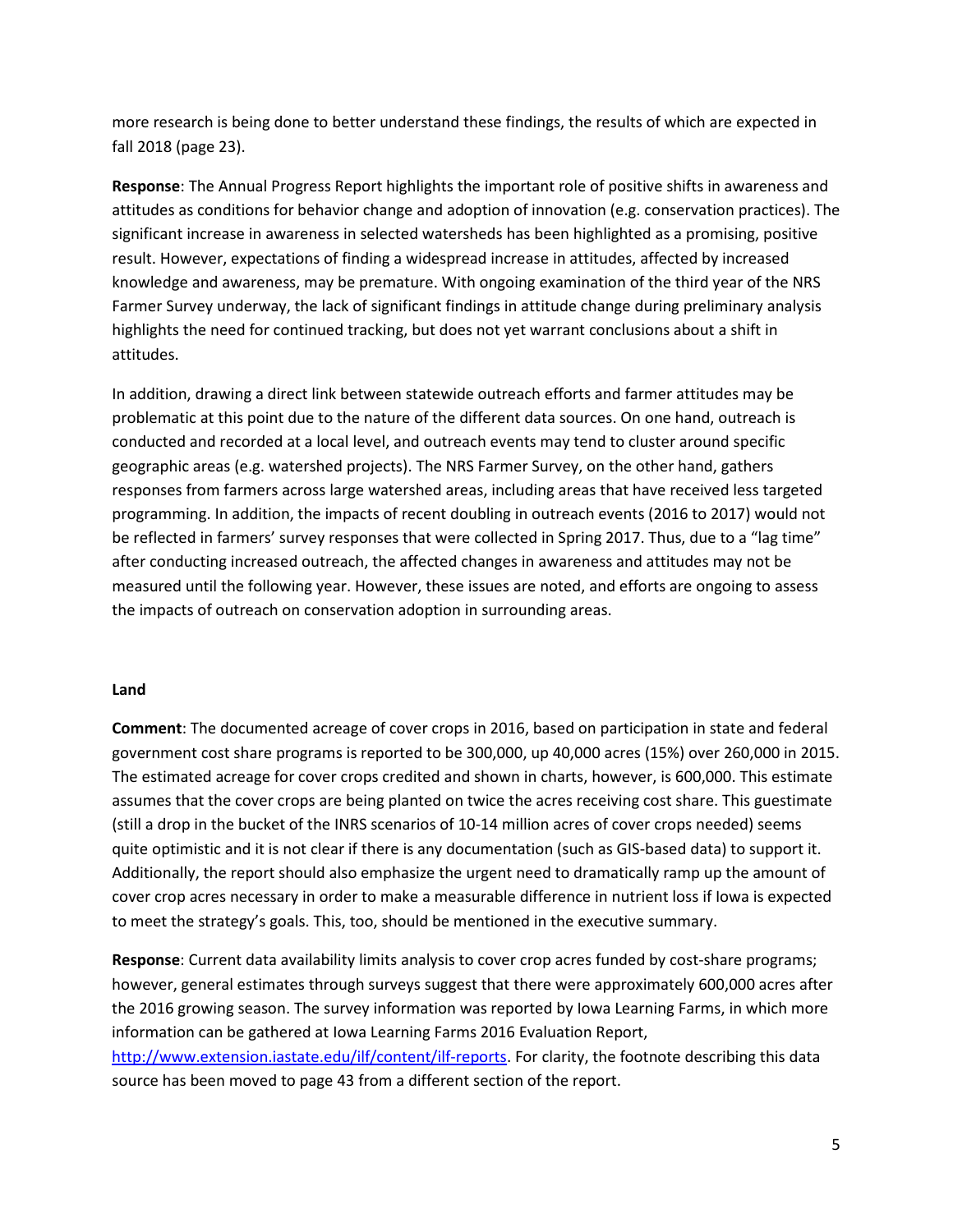more research is being done to better understand these findings, the results of which are expected in fall 2018 (page 23).

**Response**: The Annual Progress Report highlights the important role of positive shifts in awareness and attitudes as conditions for behavior change and adoption of innovation (e.g. conservation practices). The significant increase in awareness in selected watersheds has been highlighted as a promising, positive result. However, expectations of finding a widespread increase in attitudes, affected by increased knowledge and awareness, may be premature. With ongoing examination of the third year of the NRS Farmer Survey underway, the lack of significant findings in attitude change during preliminary analysis highlights the need for continued tracking, but does not yet warrant conclusions about a shift in attitudes.

In addition, drawing a direct link between statewide outreach efforts and farmer attitudes may be problematic at this point due to the nature of the different data sources. On one hand, outreach is conducted and recorded at a local level, and outreach events may tend to cluster around specific geographic areas (e.g. watershed projects). The NRS Farmer Survey, on the other hand, gathers responses from farmers across large watershed areas, including areas that have received less targeted programming. In addition, the impacts of recent doubling in outreach events (2016 to 2017) would not be reflected in farmers' survey responses that were collected in Spring 2017. Thus, due to a "lag time" after conducting increased outreach, the affected changes in awareness and attitudes may not be measured until the following year. However, these issues are noted, and efforts are ongoing to assess the impacts of outreach on conservation adoption in surrounding areas.

### **Land**

**Comment**: The documented acreage of cover crops in 2016, based on participation in state and federal government cost share programs is reported to be 300,000, up 40,000 acres (15%) over 260,000 in 2015. The estimated acreage for cover crops credited and shown in charts, however, is 600,000. This estimate assumes that the cover crops are being planted on twice the acres receiving cost share. This guestimate (still a drop in the bucket of the INRS scenarios of 10-14 million acres of cover crops needed) seems quite optimistic and it is not clear if there is any documentation (such as GIS-based data) to support it. Additionally, the report should also emphasize the urgent need to dramatically ramp up the amount of cover crop acres necessary in order to make a measurable difference in nutrient loss if Iowa is expected to meet the strategy's goals. This, too, should be mentioned in the executive summary.

**Response**: Current data availability limits analysis to cover crop acres funded by cost-share programs; however, general estimates through surveys suggest that there were approximately 600,000 acres after the 2016 growing season. The survey information was reported by Iowa Learning Farms, in which more information can be gathered at Iowa Learning Farms 2016 Evaluation Report, [http://www.extension.iastate.edu/ilf/content/ilf-reports.](http://www.extension.iastate.edu/ilf/content/ilf-reports) For clarity, the footnote describing this data source has been moved to page 43 from a different section of the report.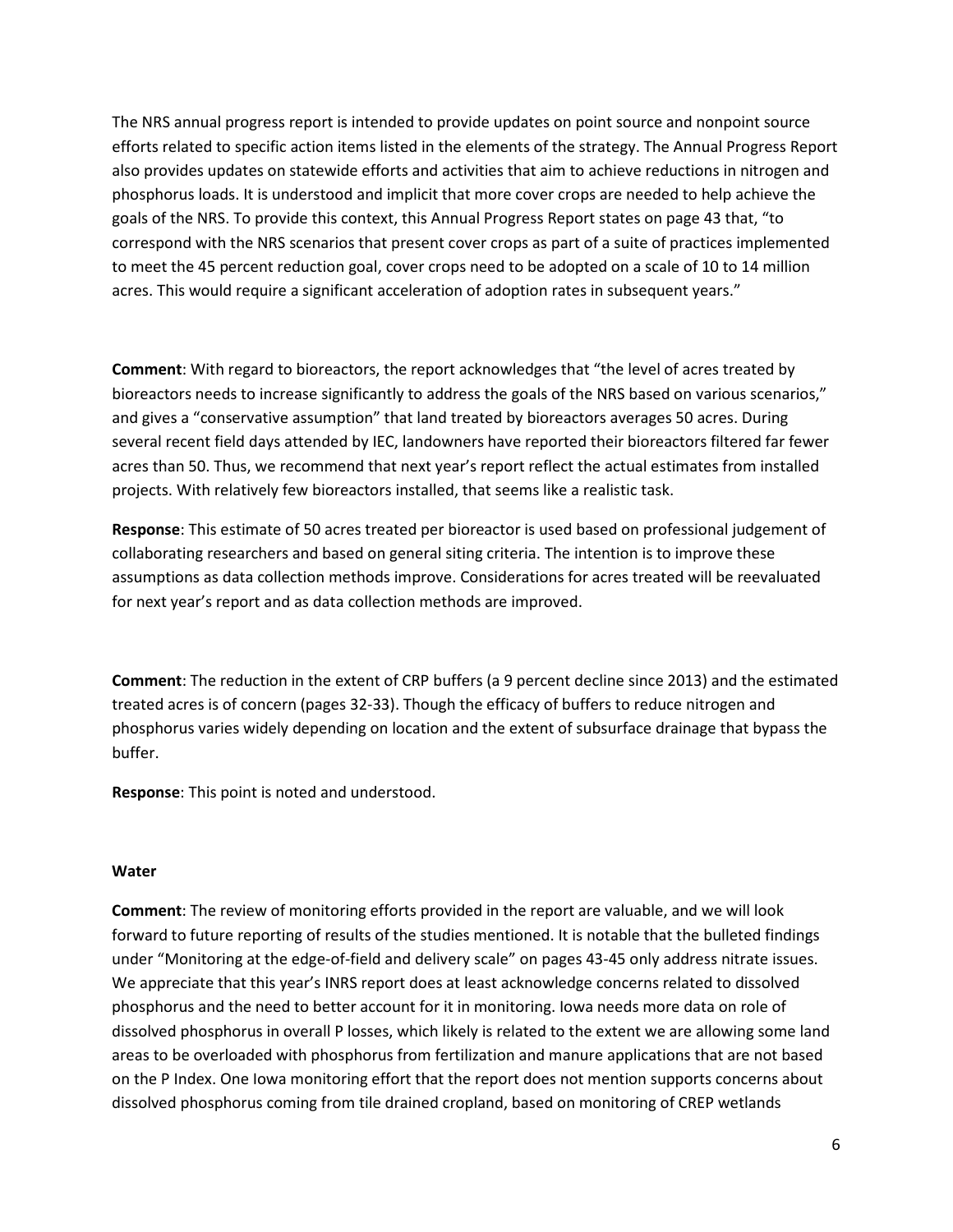The NRS annual progress report is intended to provide updates on point source and nonpoint source efforts related to specific action items listed in the elements of the strategy. The Annual Progress Report also provides updates on statewide efforts and activities that aim to achieve reductions in nitrogen and phosphorus loads. It is understood and implicit that more cover crops are needed to help achieve the goals of the NRS. To provide this context, this Annual Progress Report states on page 43 that, "to correspond with the NRS scenarios that present cover crops as part of a suite of practices implemented to meet the 45 percent reduction goal, cover crops need to be adopted on a scale of 10 to 14 million acres. This would require a significant acceleration of adoption rates in subsequent years."

**Comment**: With regard to bioreactors, the report acknowledges that "the level of acres treated by bioreactors needs to increase significantly to address the goals of the NRS based on various scenarios," and gives a "conservative assumption" that land treated by bioreactors averages 50 acres. During several recent field days attended by IEC, landowners have reported their bioreactors filtered far fewer acres than 50. Thus, we recommend that next year's report reflect the actual estimates from installed projects. With relatively few bioreactors installed, that seems like a realistic task.

**Response**: This estimate of 50 acres treated per bioreactor is used based on professional judgement of collaborating researchers and based on general siting criteria. The intention is to improve these assumptions as data collection methods improve. Considerations for acres treated will be reevaluated for next year's report and as data collection methods are improved.

**Comment**: The reduction in the extent of CRP buffers (a 9 percent decline since 2013) and the estimated treated acres is of concern (pages 32-33). Though the efficacy of buffers to reduce nitrogen and phosphorus varies widely depending on location and the extent of subsurface drainage that bypass the buffer.

**Response**: This point is noted and understood.

#### **Water**

**Comment**: The review of monitoring efforts provided in the report are valuable, and we will look forward to future reporting of results of the studies mentioned. It is notable that the bulleted findings under "Monitoring at the edge-of-field and delivery scale" on pages 43-45 only address nitrate issues. We appreciate that this year's INRS report does at least acknowledge concerns related to dissolved phosphorus and the need to better account for it in monitoring. Iowa needs more data on role of dissolved phosphorus in overall P losses, which likely is related to the extent we are allowing some land areas to be overloaded with phosphorus from fertilization and manure applications that are not based on the P Index. One Iowa monitoring effort that the report does not mention supports concerns about dissolved phosphorus coming from tile drained cropland, based on monitoring of CREP wetlands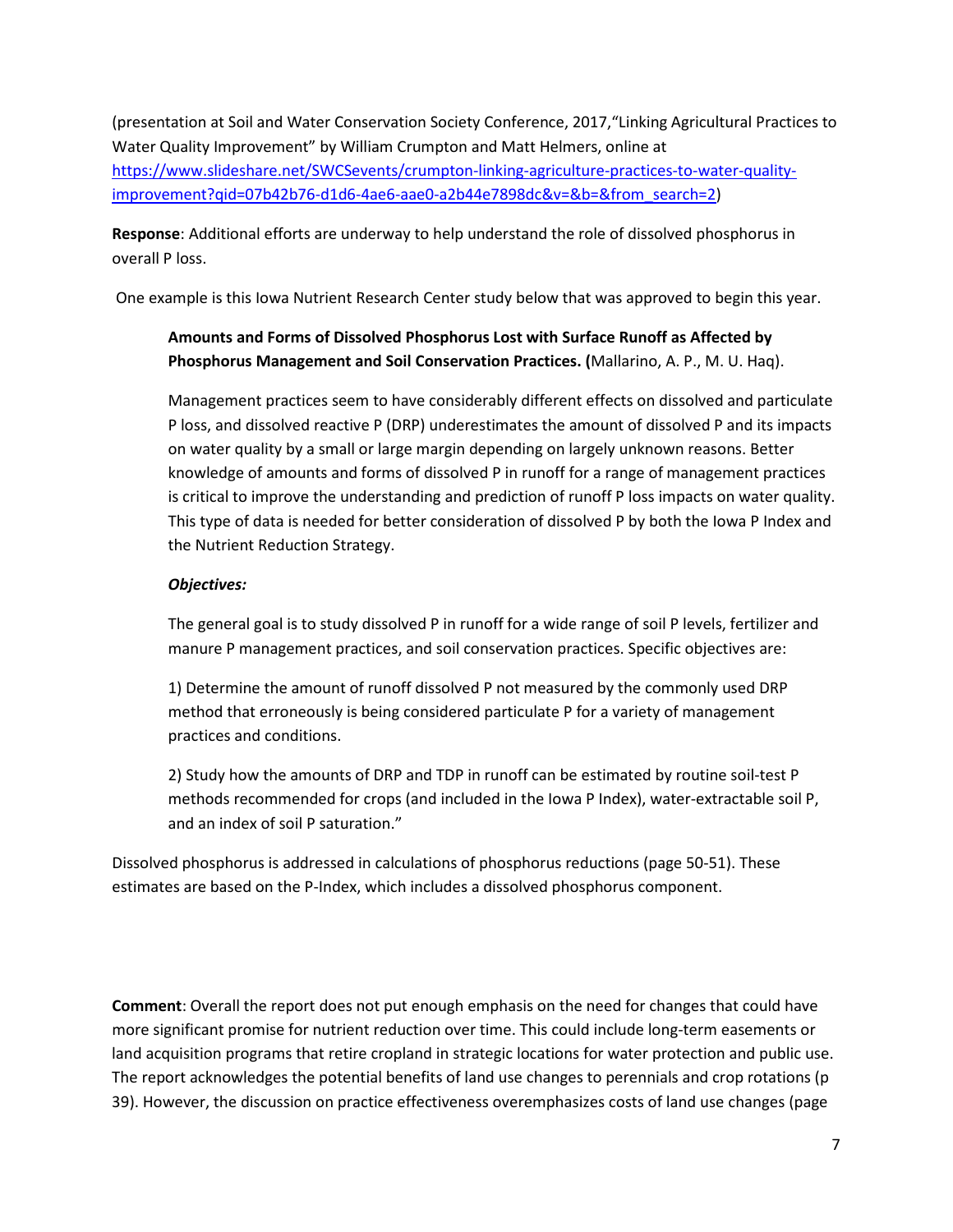(presentation at Soil and Water Conservation Society Conference, 2017,"Linking Agricultural Practices to Water Quality Improvement" by William Crumpton and Matt Helmers, online at [https://www.slideshare.net/SWCSevents/crumpton-linking-agriculture-practices-to-water-quality](https://www.slideshare.net/SWCSevents/crumpton-linking-agriculture-practices-to-water-quality-improvement?qid=07b42b76-d1d6-4ae6-aae0-a2b44e7898dc&v=&b=&from_search=2)[improvement?qid=07b42b76-d1d6-4ae6-aae0-a2b44e7898dc&v=&b=&from\\_search=2\)](https://www.slideshare.net/SWCSevents/crumpton-linking-agriculture-practices-to-water-quality-improvement?qid=07b42b76-d1d6-4ae6-aae0-a2b44e7898dc&v=&b=&from_search=2)

**Response**: Additional efforts are underway to help understand the role of dissolved phosphorus in overall P loss.

One example is this Iowa Nutrient Research Center study below that was approved to begin this year.

# **Amounts and Forms of Dissolved Phosphorus Lost with Surface Runoff as Affected by Phosphorus Management and Soil Conservation Practices. (**Mallarino, A. P., M. U. Haq).

Management practices seem to have considerably different effects on dissolved and particulate P loss, and dissolved reactive P (DRP) underestimates the amount of dissolved P and its impacts on water quality by a small or large margin depending on largely unknown reasons. Better knowledge of amounts and forms of dissolved P in runoff for a range of management practices is critical to improve the understanding and prediction of runoff P loss impacts on water quality. This type of data is needed for better consideration of dissolved P by both the Iowa P Index and the Nutrient Reduction Strategy.

# *Objectives:*

The general goal is to study dissolved P in runoff for a wide range of soil P levels, fertilizer and manure P management practices, and soil conservation practices. Specific objectives are:

1) Determine the amount of runoff dissolved P not measured by the commonly used DRP method that erroneously is being considered particulate P for a variety of management practices and conditions.

2) Study how the amounts of DRP and TDP in runoff can be estimated by routine soil-test P methods recommended for crops (and included in the Iowa P Index), water-extractable soil P, and an index of soil P saturation."

Dissolved phosphorus is addressed in calculations of phosphorus reductions (page 50-51). These estimates are based on the P-Index, which includes a dissolved phosphorus component.

**Comment**: Overall the report does not put enough emphasis on the need for changes that could have more significant promise for nutrient reduction over time. This could include long-term easements or land acquisition programs that retire cropland in strategic locations for water protection and public use. The report acknowledges the potential benefits of land use changes to perennials and crop rotations (p 39). However, the discussion on practice effectiveness overemphasizes costs of land use changes (page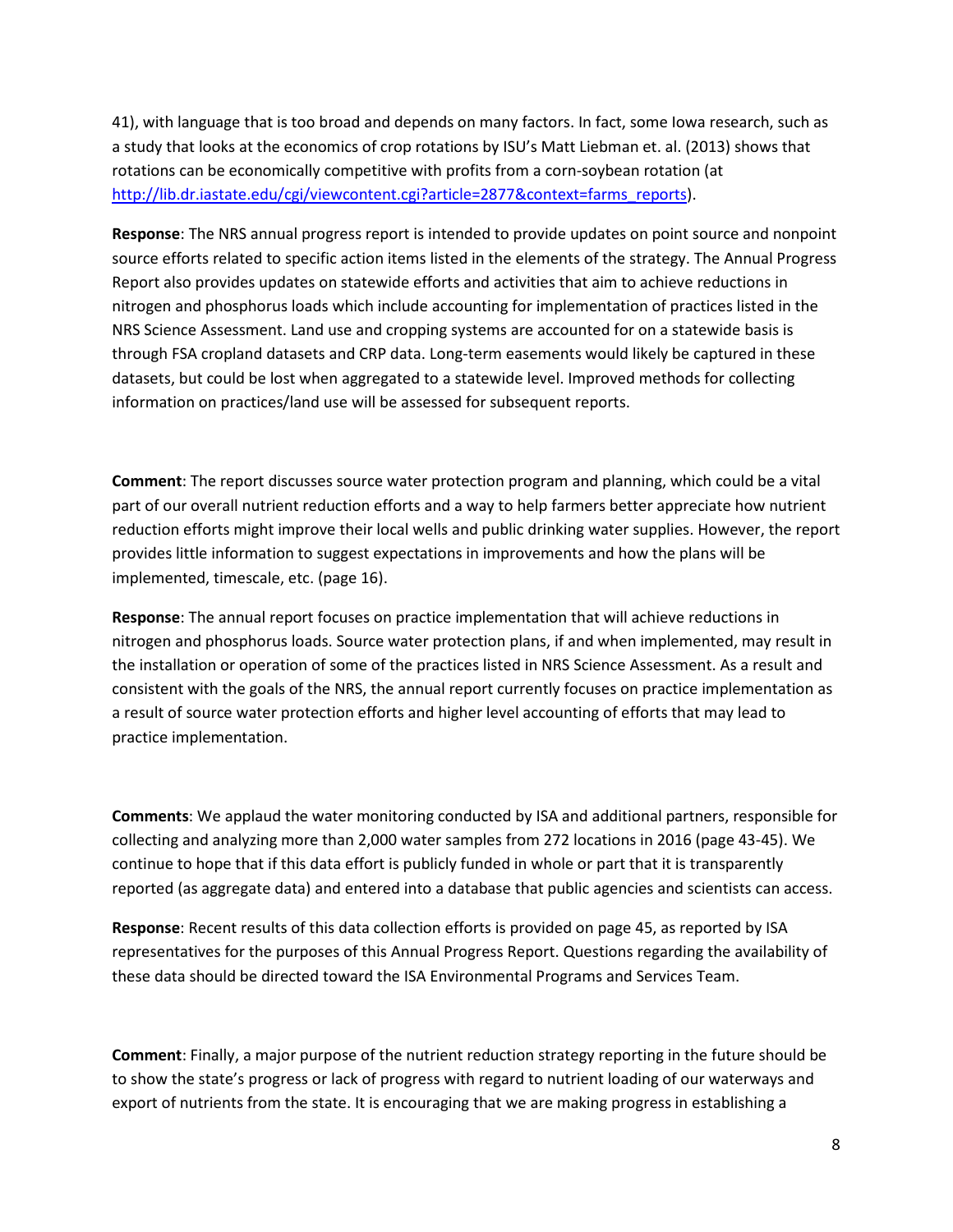41), with language that is too broad and depends on many factors. In fact, some Iowa research, such as a study that looks at the economics of crop rotations by ISU's Matt Liebman et. al. (2013) shows that rotations can be economically competitive with profits from a corn-soybean rotation (at [http://lib.dr.iastate.edu/cgi/viewcontent.cgi?article=2877&context=farms\\_reports\)](http://lib.dr.iastate.edu/cgi/viewcontent.cgi?article=2877&context=farms_reports).

**Response**: The NRS annual progress report is intended to provide updates on point source and nonpoint source efforts related to specific action items listed in the elements of the strategy. The Annual Progress Report also provides updates on statewide efforts and activities that aim to achieve reductions in nitrogen and phosphorus loads which include accounting for implementation of practices listed in the NRS Science Assessment. Land use and cropping systems are accounted for on a statewide basis is through FSA cropland datasets and CRP data. Long-term easements would likely be captured in these datasets, but could be lost when aggregated to a statewide level. Improved methods for collecting information on practices/land use will be assessed for subsequent reports.

**Comment**: The report discusses source water protection program and planning, which could be a vital part of our overall nutrient reduction efforts and a way to help farmers better appreciate how nutrient reduction efforts might improve their local wells and public drinking water supplies. However, the report provides little information to suggest expectations in improvements and how the plans will be implemented, timescale, etc. (page 16).

**Response**: The annual report focuses on practice implementation that will achieve reductions in nitrogen and phosphorus loads. Source water protection plans, if and when implemented, may result in the installation or operation of some of the practices listed in NRS Science Assessment. As a result and consistent with the goals of the NRS, the annual report currently focuses on practice implementation as a result of source water protection efforts and higher level accounting of efforts that may lead to practice implementation.

**Comments**: We applaud the water monitoring conducted by ISA and additional partners, responsible for collecting and analyzing more than 2,000 water samples from 272 locations in 2016 (page 43-45). We continue to hope that if this data effort is publicly funded in whole or part that it is transparently reported (as aggregate data) and entered into a database that public agencies and scientists can access.

**Response**: Recent results of this data collection efforts is provided on page 45, as reported by ISA representatives for the purposes of this Annual Progress Report. Questions regarding the availability of these data should be directed toward the ISA Environmental Programs and Services Team.

**Comment**: Finally, a major purpose of the nutrient reduction strategy reporting in the future should be to show the state's progress or lack of progress with regard to nutrient loading of our waterways and export of nutrients from the state. It is encouraging that we are making progress in establishing a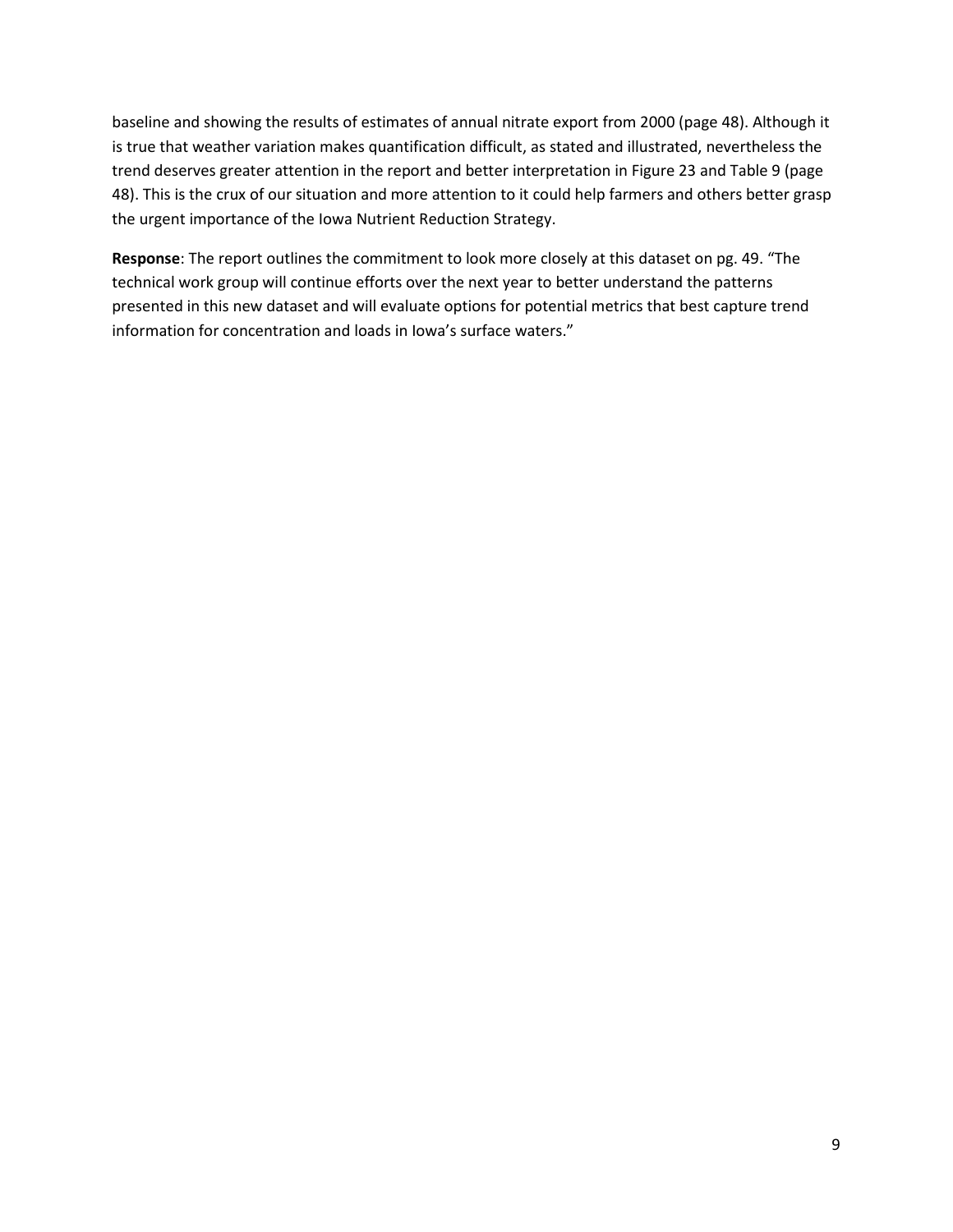baseline and showing the results of estimates of annual nitrate export from 2000 (page 48). Although it is true that weather variation makes quantification difficult, as stated and illustrated, nevertheless the trend deserves greater attention in the report and better interpretation in Figure 23 and Table 9 (page 48). This is the crux of our situation and more attention to it could help farmers and others better grasp the urgent importance of the Iowa Nutrient Reduction Strategy.

**Response**: The report outlines the commitment to look more closely at this dataset on pg. 49. "The technical work group will continue efforts over the next year to better understand the patterns presented in this new dataset and will evaluate options for potential metrics that best capture trend information for concentration and loads in Iowa's surface waters."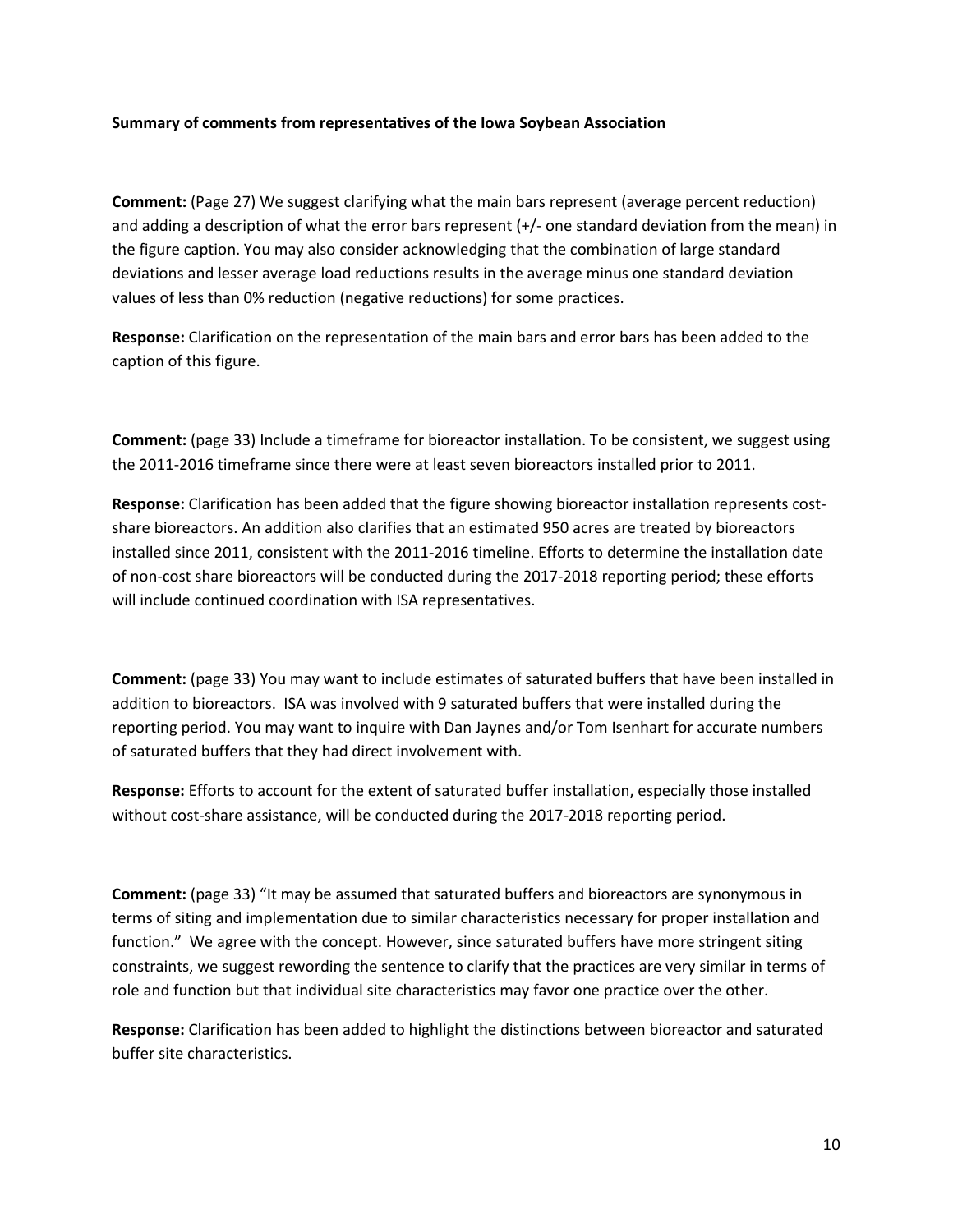#### **Summary of comments from representatives of the Iowa Soybean Association**

**Comment:** (Page 27) We suggest clarifying what the main bars represent (average percent reduction) and adding a description of what the error bars represent (+/- one standard deviation from the mean) in the figure caption. You may also consider acknowledging that the combination of large standard deviations and lesser average load reductions results in the average minus one standard deviation values of less than 0% reduction (negative reductions) for some practices.

**Response:** Clarification on the representation of the main bars and error bars has been added to the caption of this figure.

**Comment:** (page 33) Include a timeframe for bioreactor installation. To be consistent, we suggest using the 2011-2016 timeframe since there were at least seven bioreactors installed prior to 2011.

**Response:** Clarification has been added that the figure showing bioreactor installation represents costshare bioreactors. An addition also clarifies that an estimated 950 acres are treated by bioreactors installed since 2011, consistent with the 2011-2016 timeline. Efforts to determine the installation date of non-cost share bioreactors will be conducted during the 2017-2018 reporting period; these efforts will include continued coordination with ISA representatives.

**Comment:** (page 33) You may want to include estimates of saturated buffers that have been installed in addition to bioreactors. ISA was involved with 9 saturated buffers that were installed during the reporting period. You may want to inquire with Dan Jaynes and/or Tom Isenhart for accurate numbers of saturated buffers that they had direct involvement with.

**Response:** Efforts to account for the extent of saturated buffer installation, especially those installed without cost-share assistance, will be conducted during the 2017-2018 reporting period.

**Comment:** (page 33) "It may be assumed that saturated buffers and bioreactors are synonymous in terms of siting and implementation due to similar characteristics necessary for proper installation and function." We agree with the concept. However, since saturated buffers have more stringent siting constraints, we suggest rewording the sentence to clarify that the practices are very similar in terms of role and function but that individual site characteristics may favor one practice over the other.

**Response:** Clarification has been added to highlight the distinctions between bioreactor and saturated buffer site characteristics.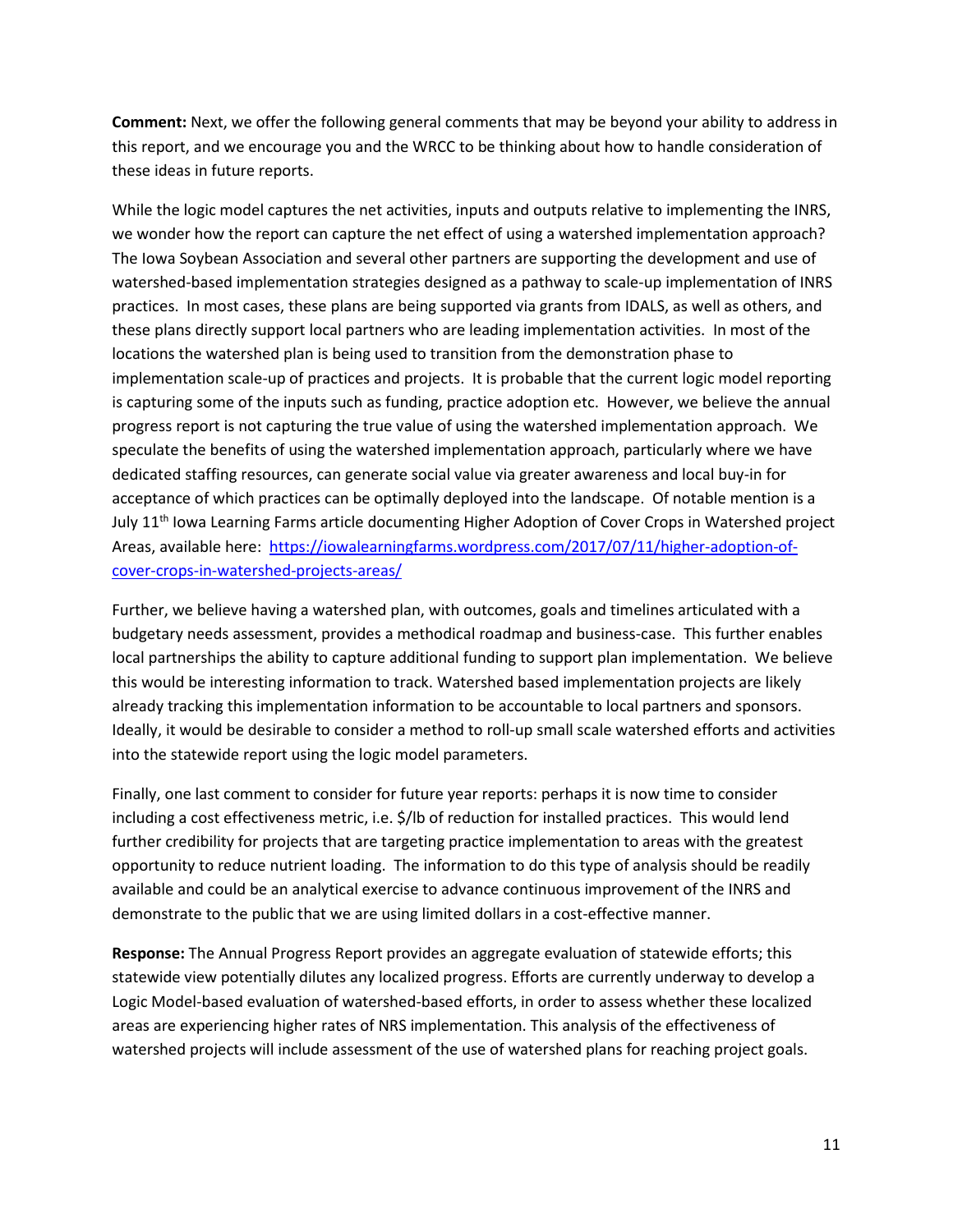**Comment:** Next, we offer the following general comments that may be beyond your ability to address in this report, and we encourage you and the WRCC to be thinking about how to handle consideration of these ideas in future reports.

While the logic model captures the net activities, inputs and outputs relative to implementing the INRS, we wonder how the report can capture the net effect of using a watershed implementation approach? The Iowa Soybean Association and several other partners are supporting the development and use of watershed-based implementation strategies designed as a pathway to scale-up implementation of INRS practices. In most cases, these plans are being supported via grants from IDALS, as well as others, and these plans directly support local partners who are leading implementation activities. In most of the locations the watershed plan is being used to transition from the demonstration phase to implementation scale-up of practices and projects. It is probable that the current logic model reporting is capturing some of the inputs such as funding, practice adoption etc. However, we believe the annual progress report is not capturing the true value of using the watershed implementation approach. We speculate the benefits of using the watershed implementation approach, particularly where we have dedicated staffing resources, can generate social value via greater awareness and local buy-in for acceptance of which practices can be optimally deployed into the landscape. Of notable mention is a July 11<sup>th</sup> Iowa Learning Farms article documenting Higher Adoption of Cover Crops in Watershed project Areas, available here: [https://iowalearningfarms.wordpress.com/2017/07/11/higher-adoption-of](https://iowalearningfarms.wordpress.com/2017/07/11/higher-adoption-of-cover-crops-in-watershed-projects-areas/)[cover-crops-in-watershed-projects-areas/](https://iowalearningfarms.wordpress.com/2017/07/11/higher-adoption-of-cover-crops-in-watershed-projects-areas/)

Further, we believe having a watershed plan, with outcomes, goals and timelines articulated with a budgetary needs assessment, provides a methodical roadmap and business-case. This further enables local partnerships the ability to capture additional funding to support plan implementation. We believe this would be interesting information to track. Watershed based implementation projects are likely already tracking this implementation information to be accountable to local partners and sponsors. Ideally, it would be desirable to consider a method to roll-up small scale watershed efforts and activities into the statewide report using the logic model parameters.

Finally, one last comment to consider for future year reports: perhaps it is now time to consider including a cost effectiveness metric, i.e. \$/lb of reduction for installed practices. This would lend further credibility for projects that are targeting practice implementation to areas with the greatest opportunity to reduce nutrient loading. The information to do this type of analysis should be readily available and could be an analytical exercise to advance continuous improvement of the INRS and demonstrate to the public that we are using limited dollars in a cost-effective manner.

**Response:** The Annual Progress Report provides an aggregate evaluation of statewide efforts; this statewide view potentially dilutes any localized progress. Efforts are currently underway to develop a Logic Model-based evaluation of watershed-based efforts, in order to assess whether these localized areas are experiencing higher rates of NRS implementation. This analysis of the effectiveness of watershed projects will include assessment of the use of watershed plans for reaching project goals.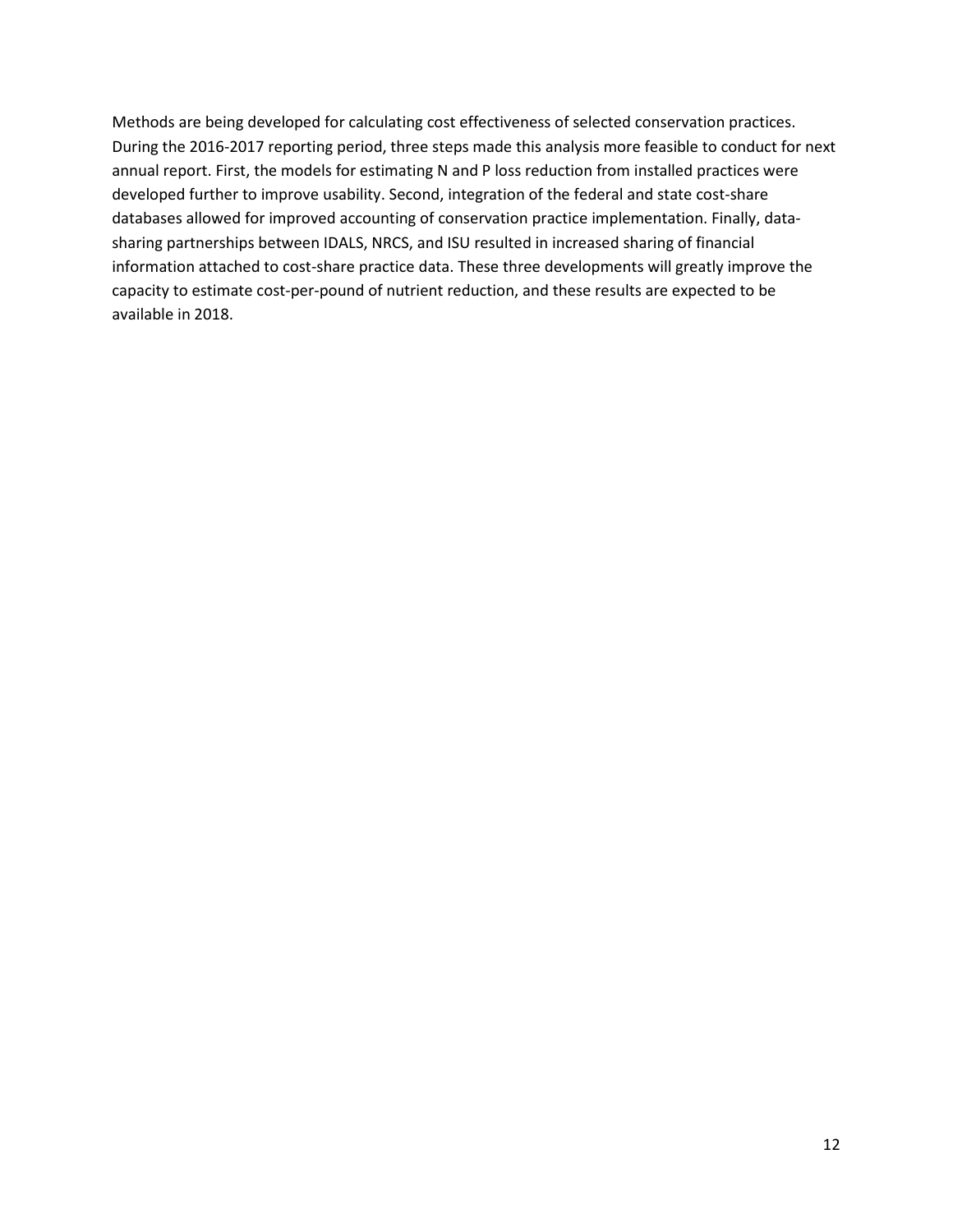Methods are being developed for calculating cost effectiveness of selected conservation practices. During the 2016-2017 reporting period, three steps made this analysis more feasible to conduct for next annual report. First, the models for estimating N and P loss reduction from installed practices were developed further to improve usability. Second, integration of the federal and state cost-share databases allowed for improved accounting of conservation practice implementation. Finally, datasharing partnerships between IDALS, NRCS, and ISU resulted in increased sharing of financial information attached to cost-share practice data. These three developments will greatly improve the capacity to estimate cost-per-pound of nutrient reduction, and these results are expected to be available in 2018.